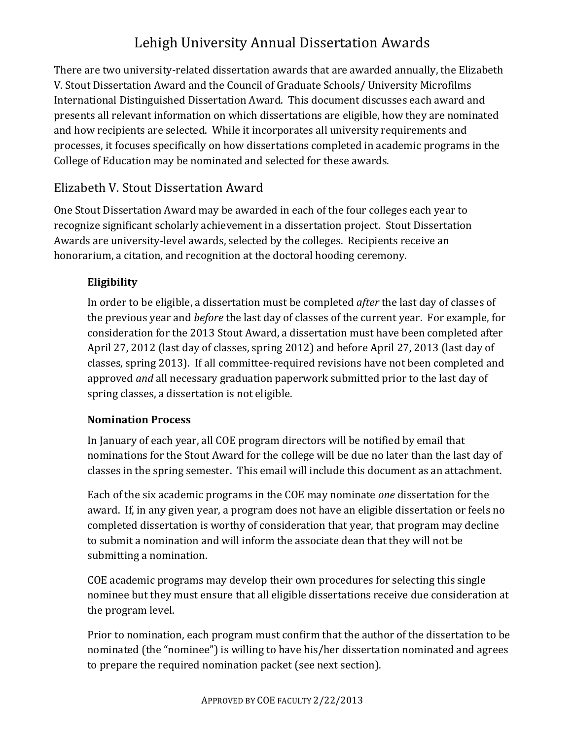# Lehigh University Annual Dissertation Awards

There are two university-related dissertation awards that are awarded annually, the Elizabeth V. Stout Dissertation Award and the Council of Graduate Schools/ University Microfilms International Distinguished Dissertation Award. This document discusses each award and presents all relevant information on which dissertations are eligible, how they are nominated and how recipients are selected. While it incorporates all university requirements and processes, it focuses specifically on how dissertations completed in academic programs in the College of Education may be nominated and selected for these awards.

# Elizabeth V. Stout Dissertation Award

One Stout Dissertation Award may be awarded in each of the four colleges each year to recognize significant scholarly achievement in a dissertation project. Stout Dissertation Awards are university-level awards, selected by the colleges. Recipients receive an honorarium, a citation, and recognition at the doctoral hooding ceremony.

### **Eligibility**

In order to be eligible, a dissertation must be completed *after* the last day of classes of the previous year and *before* the last day of classes of the current year. For example, for consideration for the 2013 Stout Award, a dissertation must have been completed after April 27, 2012 (last day of classes, spring 2012) and before April 27, 2013 (last day of classes, spring 2013). If all committee-required revisions have not been completed and approved *and* all necessary graduation paperwork submitted prior to the last day of spring classes, a dissertation is not eligible.

### **Nomination Process**

In January of each year, all COE program directors will be notified by email that nominations for the Stout Award for the college will be due no later than the last day of classes in the spring semester. This email will include this document as an attachment.

Each of the six academic programs in the COE may nominate *one* dissertation for the award. If, in any given year, a program does not have an eligible dissertation or feels no completed dissertation is worthy of consideration that year, that program may decline to submit a nomination and will inform the associate dean that they will not be submitting a nomination.

COE academic programs may develop their own procedures for selecting this single nominee but they must ensure that all eligible dissertations receive due consideration at the program level.

Prior to nomination, each program must confirm that the author of the dissertation to be nominated (the "nominee") is willing to have his/her dissertation nominated and agrees to prepare the required nomination packet (see next section).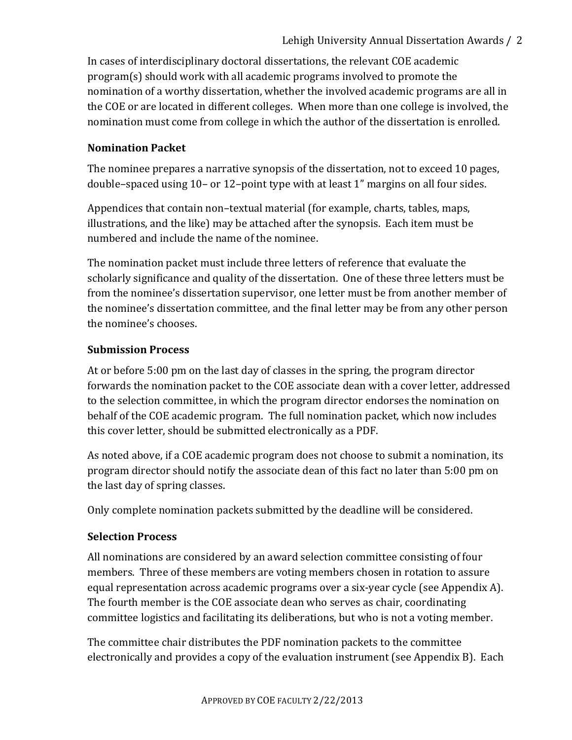In cases of interdisciplinary doctoral dissertations, the relevant COE academic  $program(s)$  should work with all academic programs involved to promote the nomination of a worthy dissertation, whether the involved academic programs are all in the COE or are located in different colleges. When more than one college is involved, the nomination must come from college in which the author of the dissertation is enrolled.

#### **Nomination Packet**

The nominee prepares a narrative synopsis of the dissertation, not to exceed 10 pages, double–spaced using 10– or 12–point type with at least 1" margins on all four sides.

Appendices that contain non–textual material (for example, charts, tables, maps, illustrations, and the like) may be attached after the synopsis. Each item must be numbered and include the name of the nominee.

The nomination packet must include three letters of reference that evaluate the scholarly significance and quality of the dissertation. One of these three letters must be from the nominee's dissertation supervisor, one letter must be from another member of the nominee's dissertation committee, and the final letter may be from any other person the nominee's chooses.

#### **Submission Process**

At or before 5:00 pm on the last day of classes in the spring, the program director forwards the nomination packet to the COE associate dean with a cover letter, addressed to the selection committee, in which the program director endorses the nomination on behalf of the COE academic program. The full nomination packet, which now includes this cover letter, should be submitted electronically as a PDF.

As noted above, if a COE academic program does not choose to submit a nomination, its program director should notify the associate dean of this fact no later than 5:00 pm on the last day of spring classes.

Only complete nomination packets submitted by the deadline will be considered.

### **Selection Process**

All nominations are considered by an award selection committee consisting of four members. Three of these members are voting members chosen in rotation to assure equal representation across academic programs over a six-year cycle (see Appendix A). The fourth member is the COE associate dean who serves as chair, coordinating committee logistics and facilitating its deliberations, but who is not a voting member.

The committee chair distributes the PDF nomination packets to the committee electronically and provides a copy of the evaluation instrument (see Appendix B). Each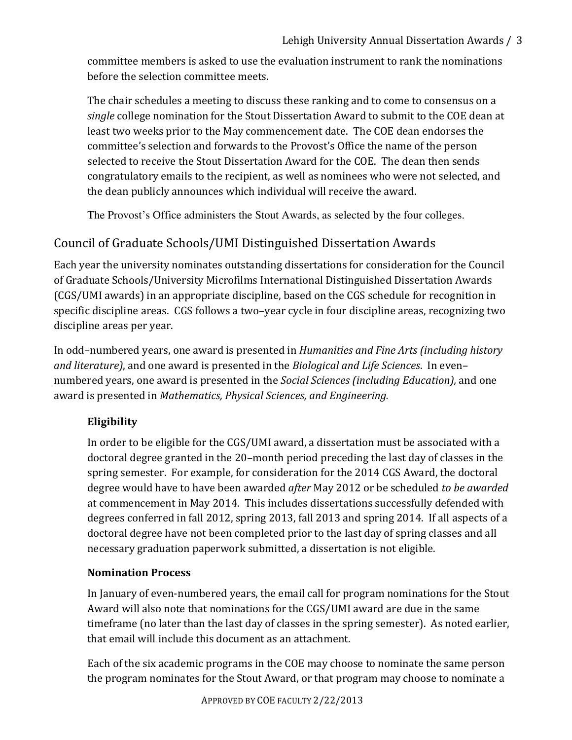committee members is asked to use the evaluation instrument to rank the nominations before the selection committee meets.

The chair schedules a meeting to discuss these ranking and to come to consensus on a *single* college nomination for the Stout Dissertation Award to submit to the COE dean at least two weeks prior to the May commencement date. The COE dean endorses the committee's selection and forwards to the Provost's Office the name of the person selected to receive the Stout Dissertation Award for the COE. The dean then sends congratulatory emails to the recipient, as well as nominees who were not selected, and the dean publicly announces which individual will receive the award.

The Provost's Office administers the Stout Awards, as selected by the four colleges.

# Council of Graduate Schools/UMI Distinguished Dissertation Awards

Each year the university nominates outstanding dissertations for consideration for the Council of Graduate Schools/University Microfilms International Distinguished Dissertation Awards  $(GGS/UMI)$  awards) in an appropriate discipline, based on the CGS schedule for recognition in specific discipline areas. CGS follows a two–year cycle in four discipline areas, recognizing two discipline areas per year.

In odd–numbered years, one award is presented in *Humanities and Fine Arts (including history and literature)*, and one award is presented in the *Biological and Life Sciences*. In even– numbered years, one award is presented in the *Social Sciences (including Education)*, and one award is presented in *Mathematics, Physical Sciences, and Engineering.* 

# **Eligibility**

In order to be eligible for the CGS/UMI award, a dissertation must be associated with a doctoral degree granted in the 20–month period preceding the last day of classes in the spring semester. For example, for consideration for the 2014 CGS Award, the doctoral degree would have to have been awarded *after* May 2012 or be scheduled *to be awarded* at commencement in May 2014. This includes dissertations successfully defended with degrees conferred in fall 2012, spring 2013, fall 2013 and spring 2014. If all aspects of a doctoral degree have not been completed prior to the last day of spring classes and all necessary graduation paperwork submitted, a dissertation is not eligible.

### **Nomination Process**

In January of even-numbered years, the email call for program nominations for the Stout Award will also note that nominations for the CGS/UMI award are due in the same timeframe (no later than the last day of classes in the spring semester). As noted earlier, that email will include this document as an attachment.

Each of the six academic programs in the COE may choose to nominate the same person the program nominates for the Stout Award, or that program may choose to nominate a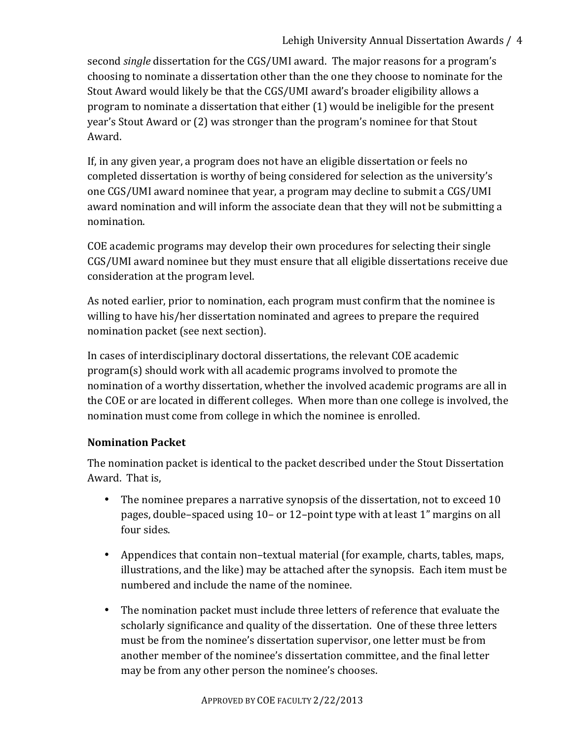second *single* dissertation for the CGS/UMI award. The major reasons for a program's choosing to nominate a dissertation other than the one they choose to nominate for the Stout Award would likely be that the CGS/UMI award's broader eligibility allows a program to nominate a dissertation that either  $(1)$  would be ineligible for the present year's Stout Award or (2) was stronger than the program's nominee for that Stout Award.

If, in any given year, a program does not have an eligible dissertation or feels no completed dissertation is worthy of being considered for selection as the university's one CGS/UMI award nominee that year, a program may decline to submit a CGS/UMI award nomination and will inform the associate dean that they will not be submitting a nomination.

COE academic programs may develop their own procedures for selecting their single CGS/UMI award nominee but they must ensure that all eligible dissertations receive due consideration at the program level.

As noted earlier, prior to nomination, each program must confirm that the nominee is willing to have his/her dissertation nominated and agrees to prepare the required nomination packet (see next section).

In cases of interdisciplinary doctoral dissertations, the relevant COE academic  $program(s)$  should work with all academic programs involved to promote the nomination of a worthy dissertation, whether the involved academic programs are all in the COE or are located in different colleges. When more than one college is involved, the nomination must come from college in which the nominee is enrolled.

### **Nomination Packet**

The nomination packet is identical to the packet described under the Stout Dissertation Award. That is,

- The nominee prepares a narrative synopsis of the dissertation, not to exceed  $10$ pages, double–spaced using  $10-$  or  $12$ –point type with at least  $1$ " margins on all four sides.
- Appendices that contain non–textual material (for example, charts, tables, maps, illustrations, and the like) may be attached after the synopsis. Each item must be numbered and include the name of the nominee.
- The nomination packet must include three letters of reference that evaluate the scholarly significance and quality of the dissertation. One of these three letters must be from the nominee's dissertation supervisor, one letter must be from another member of the nominee's dissertation committee, and the final letter may be from any other person the nominee's chooses.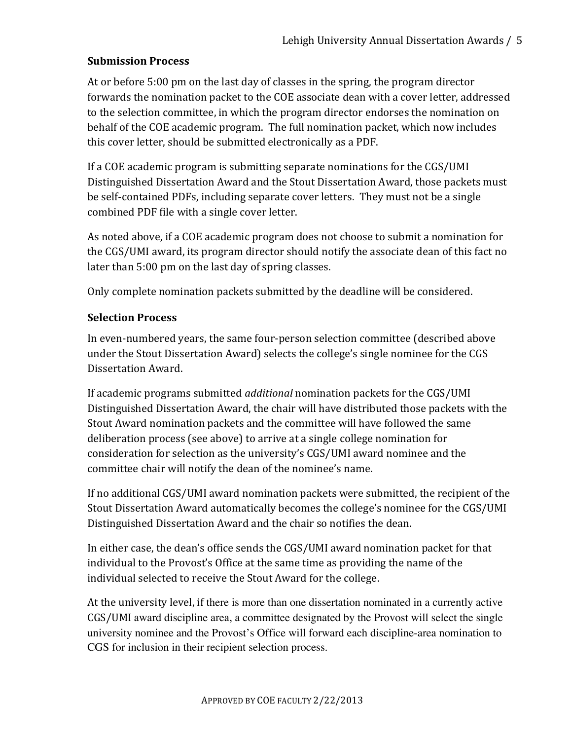#### **Submission Process**

At or before 5:00 pm on the last day of classes in the spring, the program director forwards the nomination packet to the COE associate dean with a cover letter, addressed to the selection committee, in which the program director endorses the nomination on behalf of the COE academic program. The full nomination packet, which now includes this cover letter, should be submitted electronically as a PDF.

If a COE academic program is submitting separate nominations for the CGS/UMI Distinguished Dissertation Award and the Stout Dissertation Award, those packets must be self-contained PDFs, including separate cover letters. They must not be a single combined PDF file with a single cover letter.

As noted above, if a COE academic program does not choose to submit a nomination for the CGS/UMI award, its program director should notify the associate dean of this fact no later than 5:00 pm on the last day of spring classes.

Only complete nomination packets submitted by the deadline will be considered.

#### **Selection Process**

In even-numbered years, the same four-person selection committee (described above under the Stout Dissertation Award) selects the college's single nominee for the CGS Dissertation Award.

If academic programs submitted *additional* nomination packets for the CGS/UMI Distinguished Dissertation Award, the chair will have distributed those packets with the Stout Award nomination packets and the committee will have followed the same deliberation process (see above) to arrive at a single college nomination for consideration for selection as the university's CGS/UMI award nominee and the committee chair will notify the dean of the nominee's name.

If no additional CGS/UMI award nomination packets were submitted, the recipient of the Stout Dissertation Award automatically becomes the college's nominee for the CGS/UMI Distinguished Dissertation Award and the chair so notifies the dean.

In either case, the dean's office sends the CGS/UMI award nomination packet for that individual to the Provost's Office at the same time as providing the name of the individual selected to receive the Stout Award for the college.

At the university level, if there is more than one dissertation nominated in a currently active CGS/UMI award discipline area, a committee designated by the Provost will select the single university nominee and the Provost's Office will forward each discipline-area nomination to CGS for inclusion in their recipient selection process.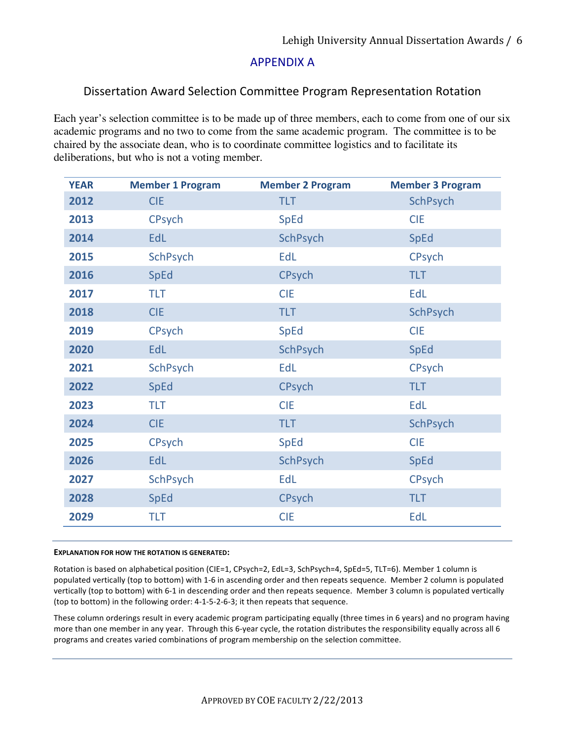#### **APPENDIX A**

#### Dissertation Award Selection Committee Program Representation Rotation

Each year's selection committee is to be made up of three members, each to come from one of our six academic programs and no two to come from the same academic program. The committee is to be chaired by the associate dean, who is to coordinate committee logistics and to facilitate its deliberations, but who is not a voting member.

| <b>TLT</b><br><b>SchPsych</b><br>2012<br><b>CIE</b><br>2013<br><b>CPsych</b><br><b>CIE</b><br><b>SpEd</b><br>2014<br>EdL<br>SchPsych<br><b>SpEd</b><br>SchPsych<br>EdL<br><b>CPsych</b><br>2015<br>2016<br><b>CPsych</b><br><b>TLT</b><br><b>SpEd</b><br><b>TLT</b><br><b>CIE</b><br>EdL<br>2017<br><b>CIE</b><br><b>TLT</b><br>SchPsych<br>2018<br><b>SpEd</b><br><b>CIE</b><br>2019<br><b>CPsych</b><br>2020<br>EdL<br><b>SchPsych</b><br><b>SpEd</b><br>SchPsych<br>EdL<br><b>CPsych</b><br>2021<br><b>CPsych</b><br><b>TLT</b><br>2022<br><b>SpEd</b><br>EdL<br><b>TLT</b><br><b>CIE</b><br>2023 | <b>YEAR</b> | <b>Member 1 Program</b> | <b>Member 2 Program</b> | <b>Member 3 Program</b> |
|------------------------------------------------------------------------------------------------------------------------------------------------------------------------------------------------------------------------------------------------------------------------------------------------------------------------------------------------------------------------------------------------------------------------------------------------------------------------------------------------------------------------------------------------------------------------------------------------------|-------------|-------------------------|-------------------------|-------------------------|
|                                                                                                                                                                                                                                                                                                                                                                                                                                                                                                                                                                                                      |             |                         |                         |                         |
|                                                                                                                                                                                                                                                                                                                                                                                                                                                                                                                                                                                                      |             |                         |                         |                         |
|                                                                                                                                                                                                                                                                                                                                                                                                                                                                                                                                                                                                      |             |                         |                         |                         |
|                                                                                                                                                                                                                                                                                                                                                                                                                                                                                                                                                                                                      |             |                         |                         |                         |
|                                                                                                                                                                                                                                                                                                                                                                                                                                                                                                                                                                                                      |             |                         |                         |                         |
|                                                                                                                                                                                                                                                                                                                                                                                                                                                                                                                                                                                                      |             |                         |                         |                         |
|                                                                                                                                                                                                                                                                                                                                                                                                                                                                                                                                                                                                      |             |                         |                         |                         |
|                                                                                                                                                                                                                                                                                                                                                                                                                                                                                                                                                                                                      |             |                         |                         |                         |
|                                                                                                                                                                                                                                                                                                                                                                                                                                                                                                                                                                                                      |             |                         |                         |                         |
|                                                                                                                                                                                                                                                                                                                                                                                                                                                                                                                                                                                                      |             |                         |                         |                         |
|                                                                                                                                                                                                                                                                                                                                                                                                                                                                                                                                                                                                      |             |                         |                         |                         |
|                                                                                                                                                                                                                                                                                                                                                                                                                                                                                                                                                                                                      |             |                         |                         |                         |
|                                                                                                                                                                                                                                                                                                                                                                                                                                                                                                                                                                                                      | 2024        | <b>CIE</b>              | <b>TLT</b>              | <b>SchPsych</b>         |
| <b>CPsych</b><br><b>SpEd</b><br><b>CIE</b><br>2025                                                                                                                                                                                                                                                                                                                                                                                                                                                                                                                                                   |             |                         |                         |                         |
| EdL<br>2026<br><b>SchPsych</b><br><b>SpEd</b>                                                                                                                                                                                                                                                                                                                                                                                                                                                                                                                                                        |             |                         |                         |                         |
| EdL<br><b>CPsych</b><br>2027<br><b>SchPsych</b>                                                                                                                                                                                                                                                                                                                                                                                                                                                                                                                                                      |             |                         |                         |                         |
| 2028<br><b>CPsych</b><br><b>TLT</b><br><b>SpEd</b>                                                                                                                                                                                                                                                                                                                                                                                                                                                                                                                                                   |             |                         |                         |                         |
| <b>CIE</b><br>EdL<br>2029<br><b>TLT</b>                                                                                                                                                                                                                                                                                                                                                                                                                                                                                                                                                              |             |                         |                         |                         |

#### **EXPLANATION FOR HOW THE ROTATION IS GENERATED:**

Rotation is based on alphabetical position (CIE=1, CPsych=2, EdL=3, SchPsych=4, SpEd=5, TLT=6). Member 1 column is populated vertically (top to bottom) with 1-6 in ascending order and then repeats sequence. Member 2 column is populated vertically (top to bottom) with 6-1 in descending order and then repeats sequence. Member 3 column is populated vertically (top to bottom) in the following order:  $4-1-5-2-6-3$ ; it then repeats that sequence.

These column orderings result in every academic program participating equally (three times in 6 years) and no program having more than one member in any year. Through this 6-year cycle, the rotation distributes the responsibility equally across all 6 programs and creates varied combinations of program membership on the selection committee.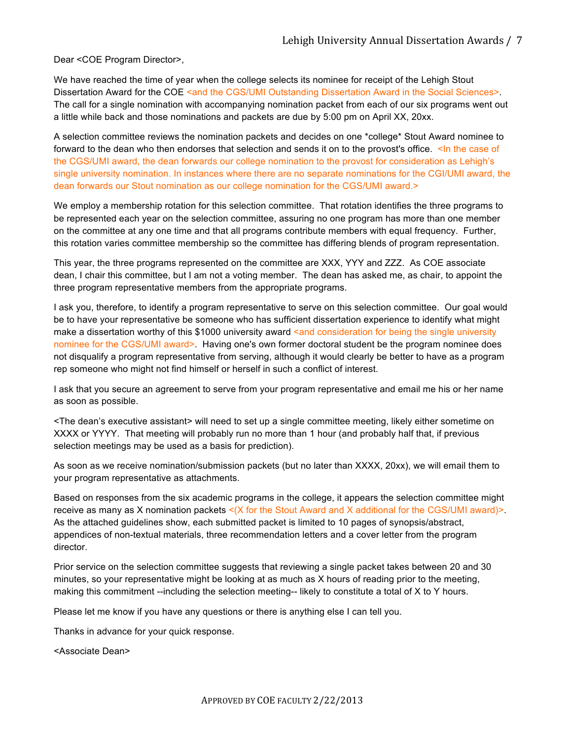Dear <COE Program Director>,

We have reached the time of year when the college selects its nominee for receipt of the Lehigh Stout Dissertation Award for the COE <and the CGS/UMI Outstanding Dissertation Award in the Social Sciences>. The call for a single nomination with accompanying nomination packet from each of our six programs went out a little while back and those nominations and packets are due by 5:00 pm on April XX, 20xx.

A selection committee reviews the nomination packets and decides on one \*college\* Stout Award nominee to forward to the dean who then endorses that selection and sends it on to the provost's office. <In the case of the CGS/UMI award, the dean forwards our college nomination to the provost for consideration as Lehigh's single university nomination. In instances where there are no separate nominations for the CGI/UMI award, the dean forwards our Stout nomination as our college nomination for the CGS/UMI award.>

We employ a membership rotation for this selection committee. That rotation identifies the three programs to be represented each year on the selection committee, assuring no one program has more than one member on the committee at any one time and that all programs contribute members with equal frequency. Further, this rotation varies committee membership so the committee has differing blends of program representation.

This year, the three programs represented on the committee are XXX, YYY and ZZZ. As COE associate dean, I chair this committee, but I am not a voting member. The dean has asked me, as chair, to appoint the three program representative members from the appropriate programs.

I ask you, therefore, to identify a program representative to serve on this selection committee. Our goal would be to have your representative be someone who has sufficient dissertation experience to identify what might make a dissertation worthy of this \$1000 university award <and consideration for being the single university nominee for the CGS/UMI award>. Having one's own former doctoral student be the program nominee does not disqualify a program representative from serving, although it would clearly be better to have as a program rep someone who might not find himself or herself in such a conflict of interest.

I ask that you secure an agreement to serve from your program representative and email me his or her name as soon as possible.

<The dean's executive assistant> will need to set up a single committee meeting, likely either sometime on XXXX or YYYY. That meeting will probably run no more than 1 hour (and probably half that, if previous selection meetings may be used as a basis for prediction).

As soon as we receive nomination/submission packets (but no later than XXXX, 20xx), we will email them to your program representative as attachments.

Based on responses from the six academic programs in the college, it appears the selection committee might receive as many as X nomination packets  $\leq (X)$  for the Stout Award and X additional for the CGS/UMI award)>. As the attached guidelines show, each submitted packet is limited to 10 pages of synopsis/abstract, appendices of non-textual materials, three recommendation letters and a cover letter from the program director.

Prior service on the selection committee suggests that reviewing a single packet takes between 20 and 30 minutes, so your representative might be looking at as much as X hours of reading prior to the meeting, making this commitment --including the selection meeting-- likely to constitute a total of X to Y hours.

Please let me know if you have any questions or there is anything else I can tell you.

Thanks in advance for your quick response.

<Associate Dean>